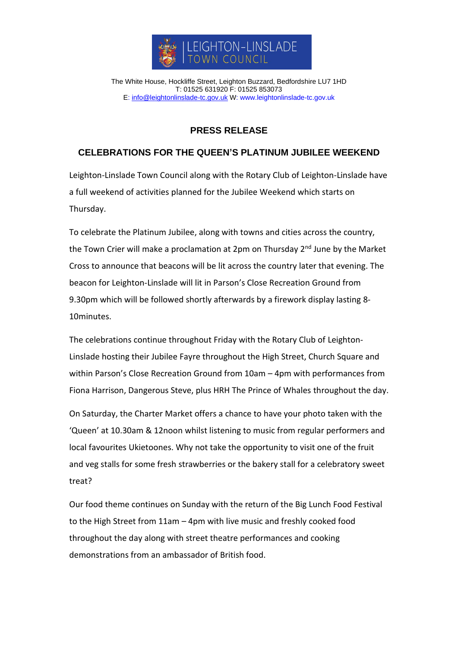

The White House, Hockliffe Street, Leighton Buzzard, Bedfordshire LU7 1HD T: 01525 631920 F: 01525 853073 E: [info@leightonlinslade-tc.gov.uk](mailto:bookings@leightonlinslade-tc.gov.uk) W: [www.leightonlinslade-tc.gov.uk](http://www.leightonlinslade-tc.gov.uk/)

## **PRESS RELEASE**

## **CELEBRATIONS FOR THE QUEEN'S PLATINUM JUBILEE WEEKEND**

Leighton-Linslade Town Council along with the Rotary Club of Leighton-Linslade have a full weekend of activities planned for the Jubilee Weekend which starts on Thursday.

To celebrate the Platinum Jubilee, along with towns and cities across the country, the Town Crier will make a proclamation at 2pm on Thursday 2<sup>nd</sup> June by the Market Cross to announce that beacons will be lit across the country later that evening. The beacon for Leighton-Linslade will lit in Parson's Close Recreation Ground from 9.30pm which will be followed shortly afterwards by a firework display lasting 8- 10minutes.

The celebrations continue throughout Friday with the Rotary Club of Leighton-Linslade hosting their Jubilee Fayre throughout the High Street, Church Square and within Parson's Close Recreation Ground from 10am – 4pm with performances from Fiona Harrison, Dangerous Steve, plus HRH The Prince of Whales throughout the day.

On Saturday, the Charter Market offers a chance to have your photo taken with the 'Queen' at 10.30am & 12noon whilst listening to music from regular performers and local favourites Ukietoones. Why not take the opportunity to visit one of the fruit and veg stalls for some fresh strawberries or the bakery stall for a celebratory sweet treat?

Our food theme continues on Sunday with the return of the Big Lunch Food Festival to the High Street from 11am – 4pm with live music and freshly cooked food throughout the day along with street theatre performances and cooking demonstrations from an ambassador of British food.